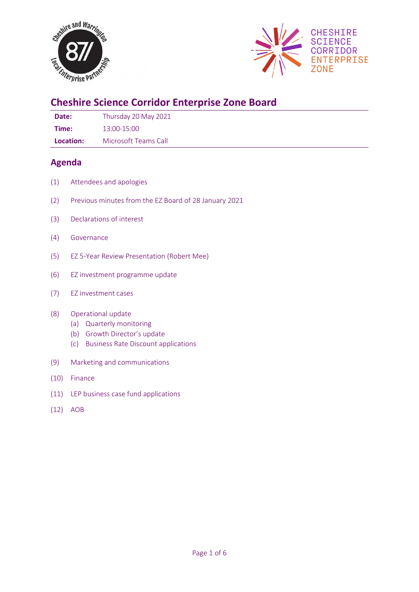



# **Cheshire Science Corridor Enterprise Zone Board**

**Date:** Thursday 20 May 2021 **Time:** 13:00-15:00

**Location:** Microsoft Teams Call

# **Agenda**

- (1) Attendees and apologies
- (2) Previous minutes from the EZ Board of 28 January 2021
- (3) Declarations of interest
- (4) Governance
- (5) EZ 5-Year Review Presentation (Robert Mee)
- (6) EZ investment programme update
- (7) EZ investment cases

#### (8) Operational update

- (a) Quarterly monitoring
- (b) Growth Director's update
- (c) Business Rate Discount applications
- (9) Marketing and communications
- (10) Finance
- (11) LEP business case fund applications
- (12) AOB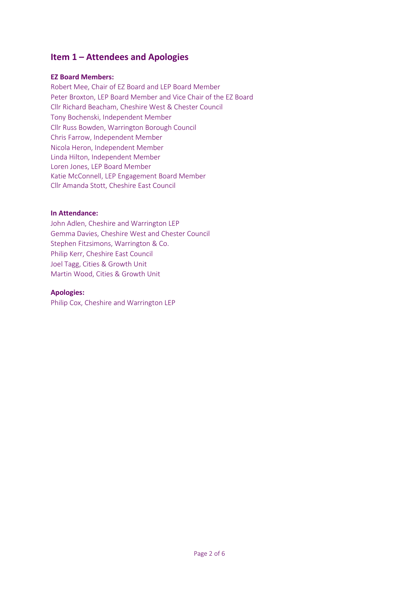# **Item 1 – Attendees and Apologies**

#### **EZ Board Members:**

Robert Mee, Chair of EZ Board and LEP Board Member Peter Broxton, LEP Board Member and Vice Chair of the EZ Board Cllr Richard Beacham, Cheshire West & Chester Council Tony Bochenski, Independent Member Cllr Russ Bowden, Warrington Borough Council Chris Farrow, Independent Member Nicola Heron, Independent Member Linda Hilton, Independent Member Loren Jones, LEP Board Member Katie McConnell, LEP Engagement Board Member Cllr Amanda Stott, Cheshire East Council

#### **In Attendance:**

John Adlen, Cheshire and Warrington LEP Gemma Davies, Cheshire West and Chester Council Stephen Fitzsimons, Warrington & Co. Philip Kerr, Cheshire East Council Joel Tagg, Cities & Growth Unit Martin Wood, Cities & Growth Unit

#### **Apologies:**

Philip Cox, Cheshire and Warrington LEP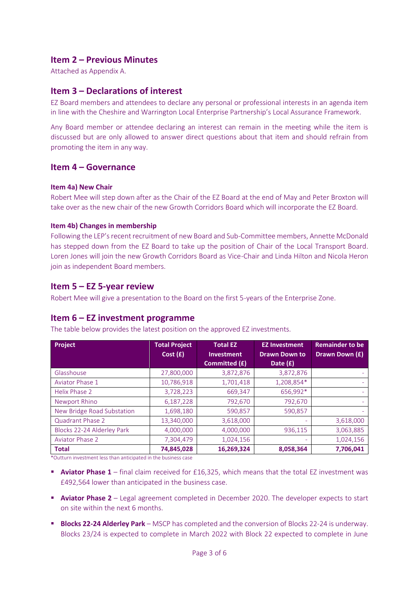# **Item 2 – Previous Minutes**

Attached as Appendix A.

# **Item 3 – Declarations of interest**

EZ Board members and attendees to declare any personal or professional interests in an agenda item in line with the Cheshire and Warrington Local Enterprise Partnership's Local Assurance Framework.

Any Board member or attendee declaring an interest can remain in the meeting while the item is discussed but are only allowed to answer direct questions about that item and should refrain from promoting the item in any way.

### **Item 4 – Governance**

#### **Item 4a) New Chair**

Robert Mee will step down after as the Chair of the EZ Board at the end of May and Peter Broxton will take over as the new chair of the new Growth Corridors Board which will incorporate the EZ Board.

#### **Item 4b) Changes in membership**

Following the LEP's recent recruitment of new Board and Sub-Committee members, Annette McDonald has stepped down from the EZ Board to take up the position of Chair of the Local Transport Board. Loren Jones will join the new Growth Corridors Board as Vice-Chair and Linda Hilton and Nicola Heron join as independent Board members.

#### **Item 5 – EZ 5-year review**

Robert Mee will give a presentation to the Board on the first 5-years of the Enterprise Zone.

# **Item 6 – EZ investment programme**

The table below provides the latest position on the approved EZ investments.

| Project                    | <b>Total Project</b><br>Cost(f) | <b>Total EZ</b><br><b>Investment</b> | <b>EZ Investment</b><br><b>Drawn Down to</b> | <b>Remainder to be</b><br>Drawn Down (£) |
|----------------------------|---------------------------------|--------------------------------------|----------------------------------------------|------------------------------------------|
|                            |                                 | <b>Committed (£)</b>                 | Date $(f)$                                   |                                          |
| Glasshouse                 | 27,800,000                      | 3,872,876                            | 3,872,876                                    |                                          |
| Aviator Phase 1            | 10,786,918                      | 1,701,418                            | 1,208,854*                                   |                                          |
| Helix Phase 2              | 3,728,223                       | 669,347                              | 656,992*                                     |                                          |
| Newport Rhino              | 6,187,228                       | 792,670                              | 792,670                                      | ٠                                        |
| New Bridge Road Substation | 1,698,180                       | 590,857                              | 590,857                                      |                                          |
| Quadrant Phase 2           | 13,340,000                      | 3,618,000                            | ٠                                            | 3,618,000                                |
| Blocks 22-24 Alderley Park | 4,000,000                       | 4,000,000                            | 936,115                                      | 3,063,885                                |
| <b>Aviator Phase 2</b>     | 7,304,479                       | 1,024,156                            | $\overline{\phantom{a}}$                     | 1,024,156                                |
| <b>Total</b>               | 74,845,028                      | 16,269,324                           | 8,058,364                                    | 7,706,041                                |

\*Outturn investment less than anticipated in the business case

- **Aviator Phase 1** final claim received for £16,325, which means that the total EZ investment was £492,564 lower than anticipated in the business case.
- **Aviator Phase 2** Legal agreement completed in December 2020. The developer expects to start on site within the next 6 months.
- **Blocks 22-24 Alderley Park** MSCP has completed and the conversion of Blocks 22-24 is underway. Blocks 23/24 is expected to complete in March 2022 with Block 22 expected to complete in June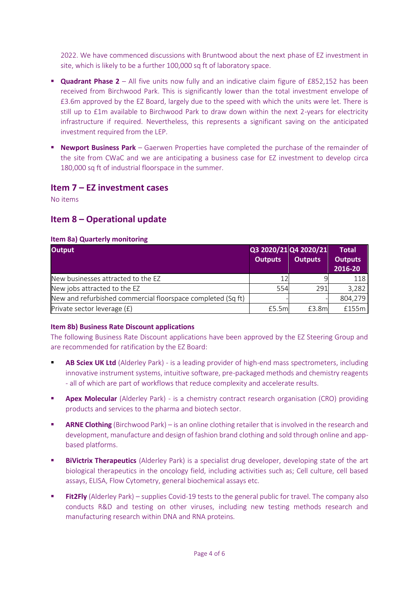2022. We have commenced discussions with Bruntwood about the next phase of EZ investment in site, which is likely to be a further 100,000 sq ft of laboratory space.

- **Quadrant Phase 2** All five units now fully and an indicative claim figure of £852,152 has been received from Birchwood Park. This is significantly lower than the total investment envelope of £3.6m approved by the EZ Board, largely due to the speed with which the units were let. There is still up to £1m available to Birchwood Park to draw down within the next 2-years for electricity infrastructure if required. Nevertheless, this represents a significant saving on the anticipated investment required from the LEP.
- **EXECT PARK INCO PROPERT IS NOTED FINE IN EXECT PROPERTY IS NOTED FOR THE VEHIT OF SHIP IS NOTED FINE THE REMAINDER OF THE POST OF THE POST OF THE POST OF THE POST OF THE POST OF THE POST OF THE POST OF THE POST OF THE POS** the site from CWaC and we are anticipating a business case for EZ investment to develop circa 180,000 sq ft of industrial floorspace in the summer.

# **Item 7 – EZ investment cases**

No items

# **Item 8 – Operational update**

### **Item 8a) Quarterly monitoring**

| <b>Output</b>                                               | Q3 2020/21 Q4 2020/21 |                | <b>Total</b>              |
|-------------------------------------------------------------|-----------------------|----------------|---------------------------|
|                                                             | <b>Outputs</b>        | <b>Outputs</b> | <b>Outputs</b><br>2016-20 |
| New businesses attracted to the EZ                          |                       |                | 118                       |
| New jobs attracted to the EZ                                | 554                   | 291            | 3,282                     |
| New and refurbished commercial floorspace completed (Sq ft) |                       |                | 804,279                   |
| Private sector leverage $(f)$                               | £5.5ml                | £3.8m          | £155m                     |

#### **Item 8b) Business Rate Discount applications**

The following Business Rate Discount applications have been approved by the EZ Steering Group and are recommended for ratification by the EZ Board:

- AB Sciex UK Ltd (Alderley Park) is a leading provider of high-end mass spectrometers, including innovative instrument systems, intuitive software, pre-packaged methods and chemistry reagents - all of which are part of workflows that reduce complexity and accelerate results.
- **E Apex Molecular** (Alderley Park) is a chemistry contract research organisation (CRO) providing products and services to the pharma and biotech sector.
- **ARNE Clothing** (Birchwood Park) is an online clothing retailer that is involved in the research and development, manufacture and design of fashion brand clothing and sold through online and appbased platforms.
- **BiVictrix Therapeutics** (Alderley Park) is a specialist drug developer, developing state of the art biological therapeutics in the oncology field, including activities such as; Cell culture, cell based assays, ELISA, Flow Cytometry, general biochemical assays etc.
- **Fit2Fly** (Alderley Park) supplies Covid-19 tests to the general public for travel. The company also conducts R&D and testing on other viruses, including new testing methods research and manufacturing research within DNA and RNA proteins*.*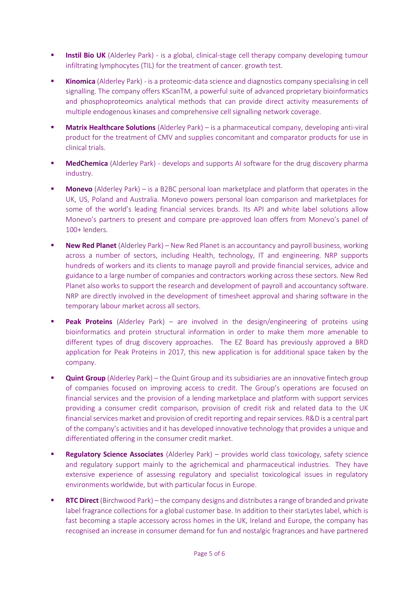- **Instil Bio UK** (Alderley Park) is a global, clinical-stage cell therapy company developing tumour infiltrating lymphocytes (TIL) for the treatment of cancer. growth test.
- **Kinomica** (Alderley Park) is a proteomic-data science and diagnostics company specialising in cell signalling. The company offers KScanTM, a powerful suite of advanced proprietary bioinformatics and phosphoproteomics analytical methods that can provide direct activity measurements of multiple endogenous kinases and comprehensive cell signalling network coverage.
- **Matrix Healthcare Solutions** (Alderley Park) is a pharmaceutical company, developing anti-viral product for the treatment of CMV and supplies concomitant and comparator products for use in clinical trials.
- **EXEDMED MedChemica** (Alderley Park) develops and supports AI software for the drug discovery pharma industry.
- **Monevo** (Alderley Park) is a B2BC personal loan marketplace and platform that operates in the UK, US, Poland and Australia. Monevo powers personal loan comparison and marketplaces for some of the world's leading financial services brands. Its API and white label solutions allow Monevo's partners to present and compare pre-approved loan offers from Monevo's panel of 100+ lenders.
- **New Red Planet** (Alderley Park) New Red Planet is an accountancy and payroll business, working across a number of sectors, including Health, technology, IT and engineering. NRP supports hundreds of workers and its clients to manage payroll and provide financial services, advice and guidance to a large number of companies and contractors working across these sectors. New Red Planet also works to support the research and development of payroll and accountancy software. NRP are directly involved in the development of timesheet approval and sharing software in the temporary labour market across all sectors.
- **Peak Proteins** (Alderley Park) are involved in the design/engineering of proteins using bioinformatics and protein structural information in order to make them more amenable to different types of drug discovery approaches. The EZ Board has previously approved a BRD application for Peak Proteins in 2017, this new application is for additional space taken by the company.
- **Quint Group** (Alderley Park) the Quint Group and its subsidiaries are an innovative fintech group of companies focused on improving access to credit. The Group's operations are focused on financial services and the provision of a lending marketplace and platform with support services providing a consumer credit comparison, provision of credit risk and related data to the UK financial services market and provision of credit reporting and repair services. R&D is a central part of the company's activities and it has developed innovative technology that provides a unique and differentiated offering in the consumer credit market.
- **Regulatory Science Associates** (Alderley Park) provides world class toxicology, safety science and regulatory support mainly to the agrichemical and pharmaceutical industries. They have extensive experience of assessing regulatory and specialist toxicological issues in regulatory environments worldwide, but with particular focus in Europe.
- **RTC Direct** (Birchwood Park) the company designs and distributes a range of branded and private label fragrance collections for a global customer base. In addition to their starLytes label, which is fast becoming a staple accessory across homes in the UK, Ireland and Europe, the company has recognised an increase in consumer demand for fun and nostalgic fragrances and have partnered